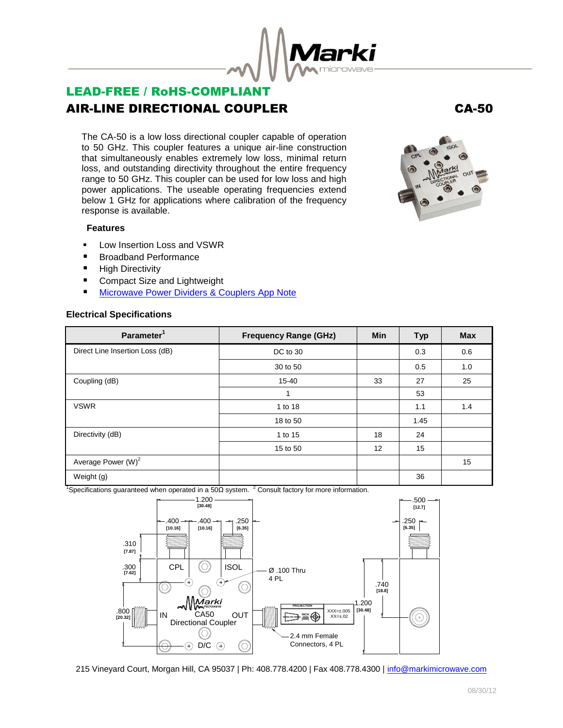

# LEAD-FREE / RoHS-COMPLIANT AIR-LINE DIRECTIONAL COUPLER CA-50

The CA-50 is a low loss directional coupler capable of operation to 50 GHz. This coupler features a unique air-line construction that simultaneously enables extremely low loss, minimal return loss, and outstanding directivity throughout the entire frequency range to 50 GHz. This coupler can be used for low loss and high power applications. The useable operating frequencies extend below 1 GHz for applications where calibration of the frequency response is available.

#### **Features**

- Low Insertion Loss and VSWR
- Broadband Performance
- **High Directivity**
- Compact Size and Lightweight
- **[Microwave Power Dividers & Couplers App Note](http://www.markimicrowave.com/menus/appnotes/microwave_power_dividers_and_couplers_primer.pdf)**

#### **Electrical Specifications**

| Parameter <sup>1</sup>          | <b>Frequency Range (GHz)</b> | <b>Min</b> | <b>Typ</b> | <b>Max</b> |
|---------------------------------|------------------------------|------------|------------|------------|
| Direct Line Insertion Loss (dB) | DC to 30                     |            | 0.3        | 0.6        |
|                                 | 30 to 50                     |            | 0.5        | 1.0        |
| Coupling (dB)                   | 15-40                        | 33         | 27         | 25         |
|                                 | 1                            |            | 53         |            |
| <b>VSWR</b>                     | 1 to 18                      |            | 1.1        | 1.4        |
|                                 | 18 to 50                     |            | 1.45       |            |
| Directivity (dB)                | 1 to 15                      | 18         | 24         |            |
|                                 | 15 to 50                     | 12         | 15         |            |
| Average Power (W) <sup>2</sup>  |                              |            |            | 15         |
| Weight (g)                      |                              |            | 36         |            |

<sup>1</sup>Specifications guaranteed when operated in a 50Ω system. <sup>2</sup> Consult factory for more information.



215 Vineyard Court, Morgan Hill, CA 95037 | Ph: 408.778.4200 | Fax 408.778.4300 | info@markimicrowave.com